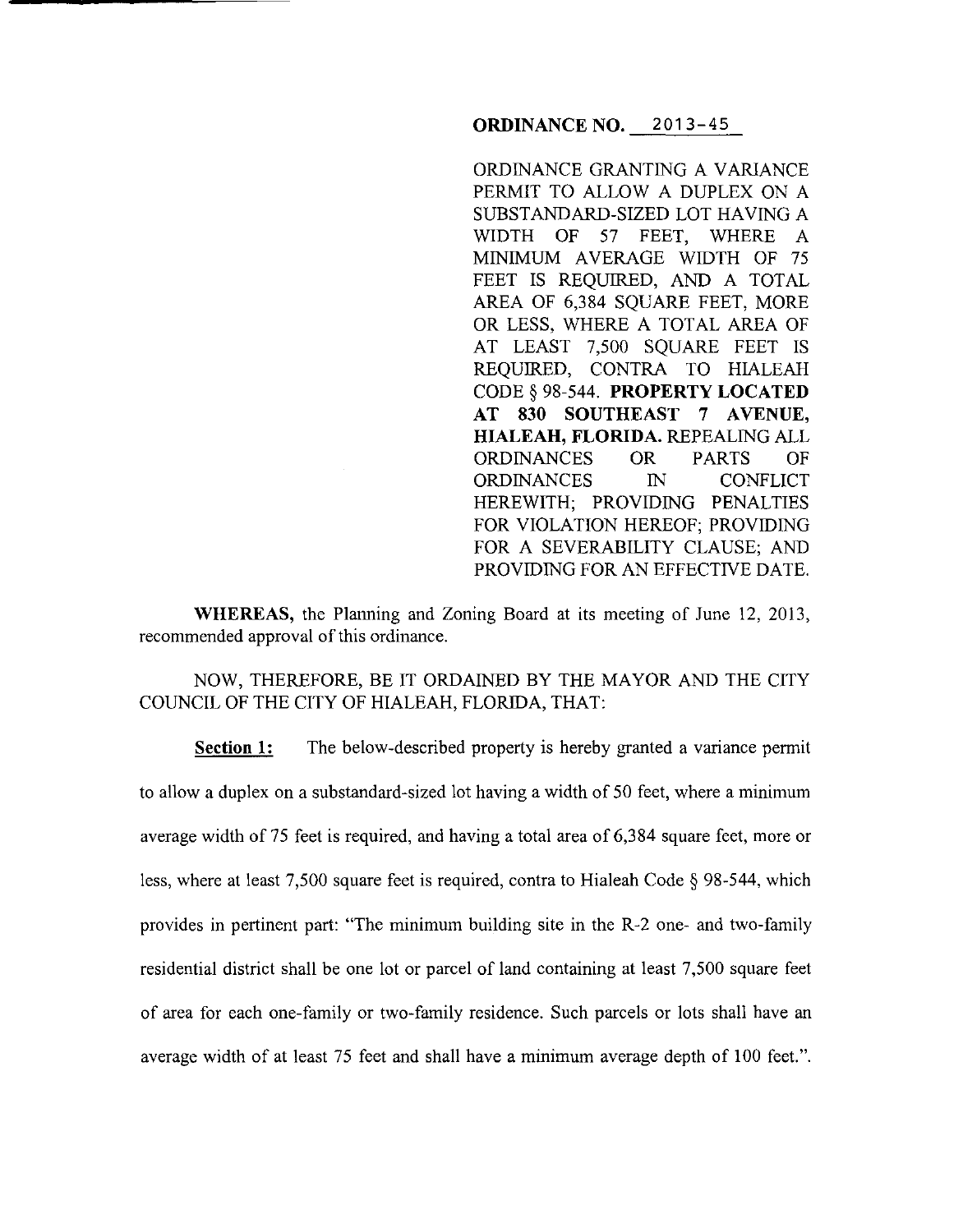### **ORDINANCE NO.** 2013-45

ORDINANCE GRANTING A VARIANCE PERMIT TO ALLOW A DUPLEX ON A SUBSTANDARD-SIZED LOT HAVING A WIDTH OF 57 FEET, WHERE A MINIMUM AVERAGE WIDTH OF 75 FEET IS REQUIRED, AND A TOTAL AREA OF 6,384 SQUARE FEET, MORE OR LESS, WHERE A TOTAL AREA OF AT LEAST 7,500 SQUARE FEET IS REQUIRED, CONTRA TO HIALEAH CODE§ 98-544. **PROPERTY LOCATED AT 830 SOUTHEAST 7 AVENUE, HIALEAH, FLORIDA.** REPEALING ALL ORDINANCES OR PARTS OF ORDINANCES IN CONFLICT HEREWITH; PROVIDING PENALTIES FOR VIOLATION HEREOF; PROVIDING FOR A SEVERABILITY CLAUSE; AND PROVIDING FOR AN EFFECTIVE DATE.

**WHEREAS,** the Planning and Zoning Board at its meeting of June 12, 2013, recommended approval of this ordinance.

NOW, THEREFORE, BE IT ORDAINED BY THE MAYOR AND THE CITY COUNCIL OF THE CITY OF HIALEAH, FLORIDA, THAT:

**Section 1:** The below-described property is hereby granted a variance permit to allow a duplex on a substandard-sized lot having a width of 50 feet, where a minimum average width of 75 feet is required, and having a total area of 6,384 square feet, more or less, where at least 7,500 square feet is required, contra to Hialeah Code§ 98-544, which provides in pertinent part: "The minimum building site in the R-2 one- and two-family residential district shall be one lot or parcel of land containing at least 7,500 square feet of area for each one-family or two-family residence. Such parcels or lots shall have an average width of at least 75 feet and shall have a minimum average depth of 100 feet.".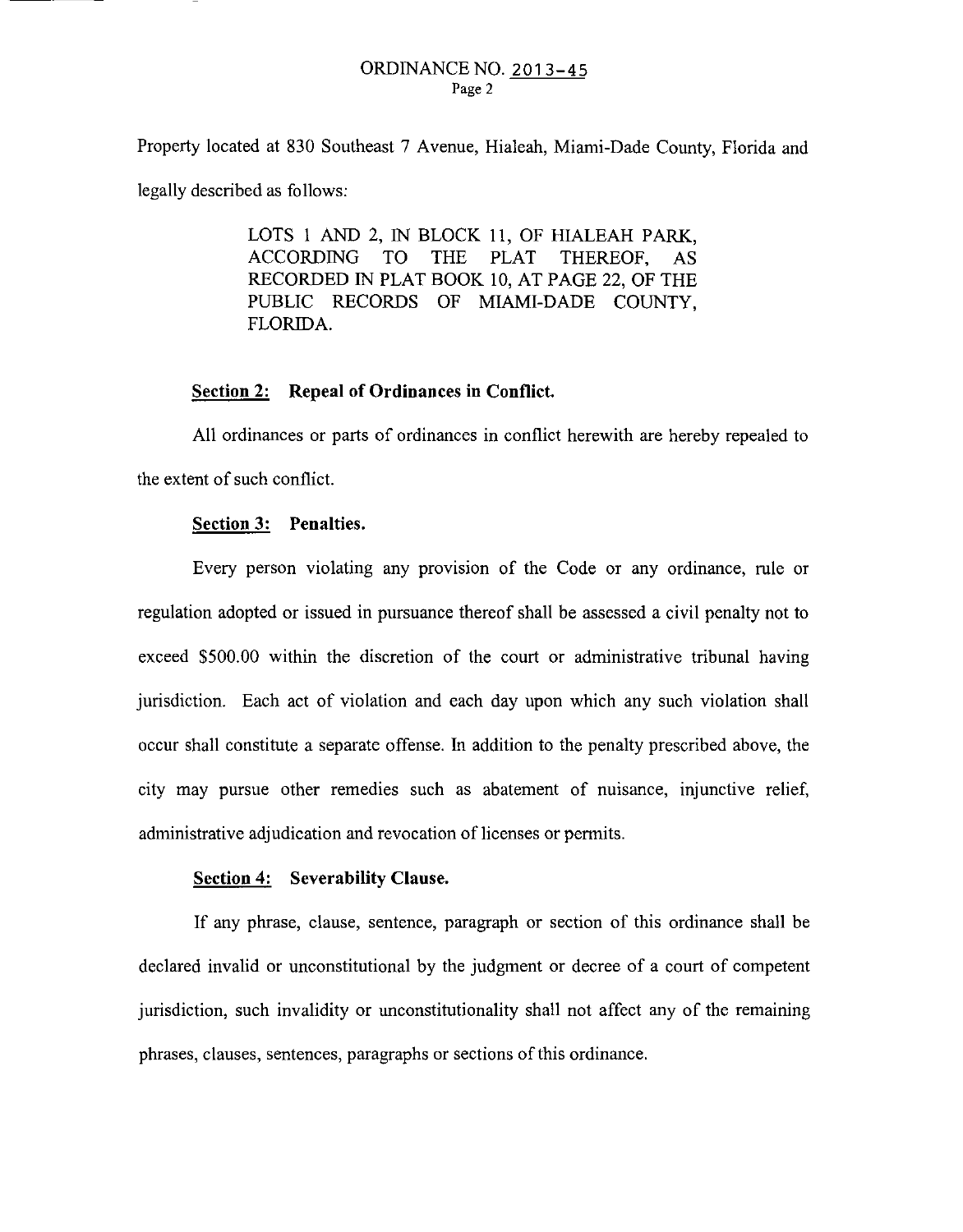#### ORDINANCE NO. 2013-45 Page 2

Property located at 830 Southeast 7 Avenue, Hialeah, Miami-Dade County, Florida and legally described as follows:

> LOTS I AND 2, IN BLOCK 11, OF HIALEAH PARK, ACCORDING TO THE PLAT THEREOF, AS RECORDED IN PLAT BOOK 10, AT PAGE 22, OF THE PUBLIC RECORDS OF MIAMI-DADE COUNTY, FLORIDA.

#### **Section 2: Repeal of Ordinances in Conflict.**

All ordinances or parts of ordinances in conflict herewith are hereby repealed to the extent of such conflict.

## **Section 3: Penalties.**

Every person violating any provision of the Code or any ordinance, rule or regulation adopted or issued in pursuance thereof shall be assessed a civil penalty not to exceed \$500.00 within the discretion of the court or administrative tribunal having jurisdiction. Each act of violation and each day upon which any such violation shall occur shall constitute a separate offense. In addition to the penalty prescribed above, the city may pursue other remedies such as abatement of nuisance, injunctive relief, administrative adjudication and revocation of licenses or permits.

#### **Section 4: Severability Clause.**

If any phrase, clause, sentence, paragraph or section of this ordinance shall be declared invalid or unconstitutional by the judgment or decree of a court of competent jurisdiction, such invalidity or unconstitutionality shall not affect any of the remaining phrases, clauses, sentences, paragraphs or sections of this ordinance.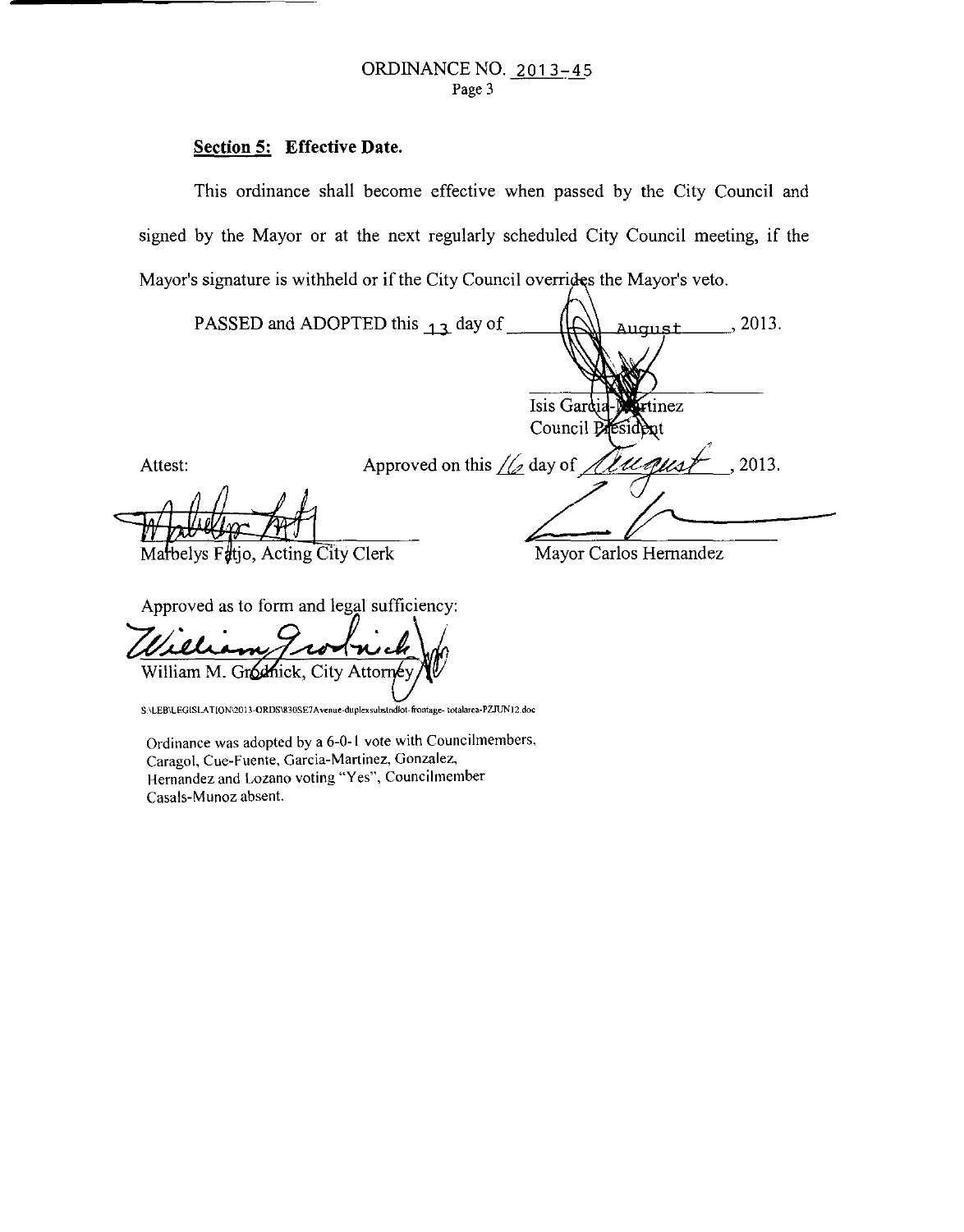# Section 5: Effective Date.

This ordinance shall become effective when passed by the City Council and signed by the Mayor or at the next regularly scheduled City Council meeting, if the Mayor's signature is withheld or if the City Council overrides the Mayor's veto.

PASSED and ADOPTED this 13 day of , 2013. August Isis Gard inez Council p ésid nt. Approved on this  $\frac{1}{2}$  day of 2013. Attest: -

Marbelys Fatio, Acting City Clerk

Mayor Carlos Hernandez

Approved as to form and legal sufficiency:

William Jrobnick William M. Gródhick, City Attori

S \LEB\LEGISLATION\2013-ORDS\830SE7Avenue-duplexsubstndlot-frontage- totalarea-PZJUN12.doc

Ordinance was adopted by a 6-0-1 vote with Councilmembers. Caragol, Cue-Fuente, Garcia-Martinez, Gonzalez, Hernandez and Lozano voting "Yes'", Councilmember Casals-Munoz absent.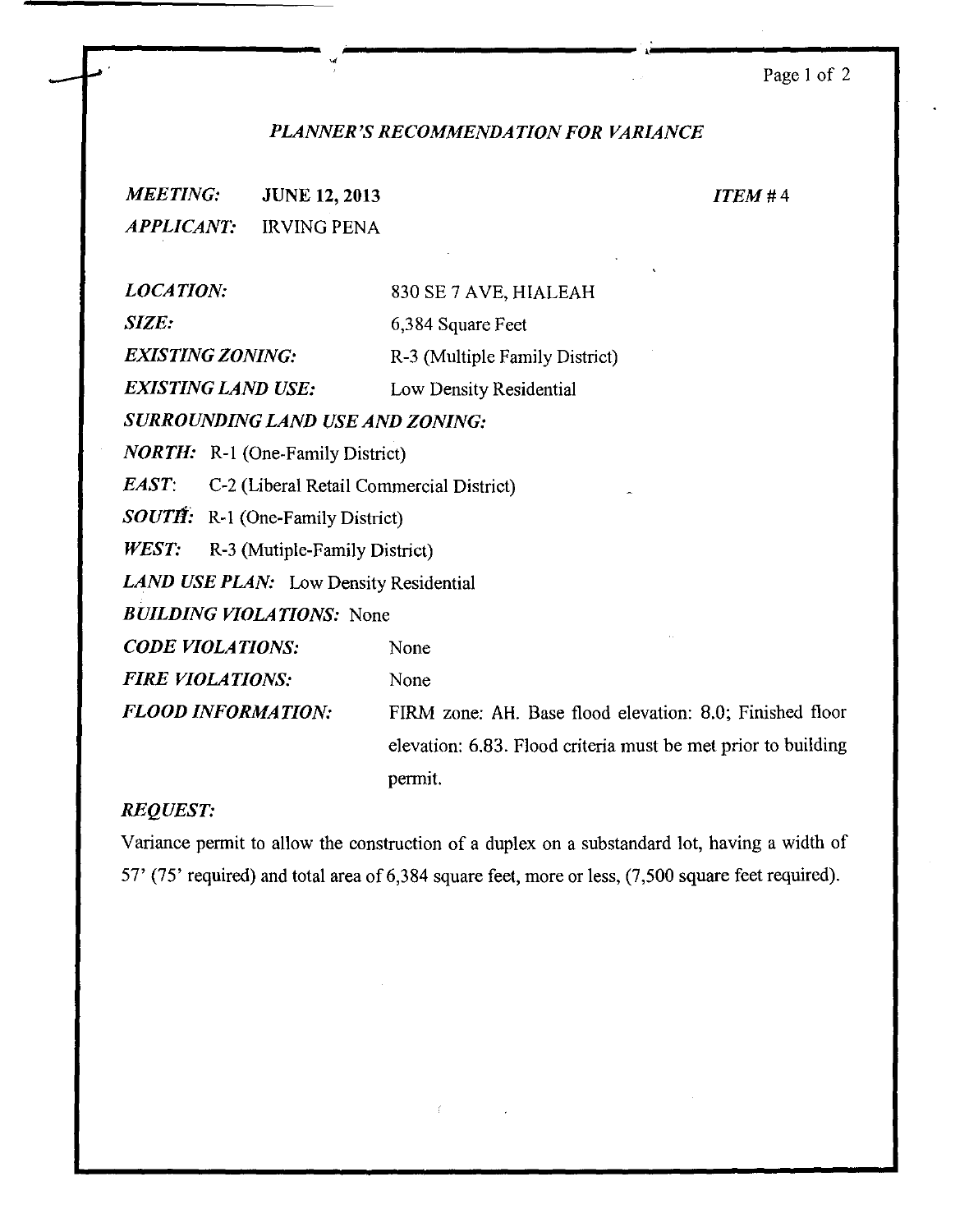# Page I of 2

# *PLANNER'S RECOMMENDATION FOR VARIANCE*

*MEETING:* JUNE 12, 2013 *APPLICANT:* IRVING PENA

 $\overline{\phantom{0}}$ 

*ITEM#4* 

|                                               | <b>LOCATION:</b>                                     | 830 SE 7 AVE, HIALEAH                                         |  |
|-----------------------------------------------|------------------------------------------------------|---------------------------------------------------------------|--|
|                                               | <i>SIZE:</i>                                         | 6,384 Square Feet                                             |  |
|                                               | <b>EXISTING ZONING:</b>                              | R-3 (Multiple Family District)                                |  |
|                                               | <b>EXISTING LAND USE:</b>                            | Low Density Residential                                       |  |
|                                               | SURROUNDING LAND USE AND ZONING:                     |                                                               |  |
| <b>NORTH:</b> R-1 (One-Family District)       |                                                      |                                                               |  |
|                                               | EAST:<br>C-2 (Liberal Retail Commercial District)    |                                                               |  |
| <b>SOUTH:</b> R-1 (One-Family District)       |                                                      |                                                               |  |
|                                               | <i><b>WEST:</b></i><br>R-3 (Mutiple-Family District) |                                                               |  |
| <b>LAND USE PLAN:</b> Low Density Residential |                                                      |                                                               |  |
| <b>BUILDING VIOLATIONS:</b> None              |                                                      |                                                               |  |
|                                               | <b>CODE VIOLATIONS:</b>                              | None                                                          |  |
|                                               | <b>FIRE VIOLATIONS:</b>                              | None                                                          |  |
|                                               | <b>FLOOD INFORMATION:</b>                            | FIRM zone: AH. Base flood elevation: 8.0; Finished floor      |  |
|                                               |                                                      | elevation: 6.83. Flood criteria must be met prior to building |  |
|                                               |                                                      | permit.                                                       |  |

# *REQUEST:*

Variance permit to allow the construction of a duplex on a substandard lot, having a width of 57' (75' required) and total area of 6,384 square feet, more or less, (7,500 square feet required).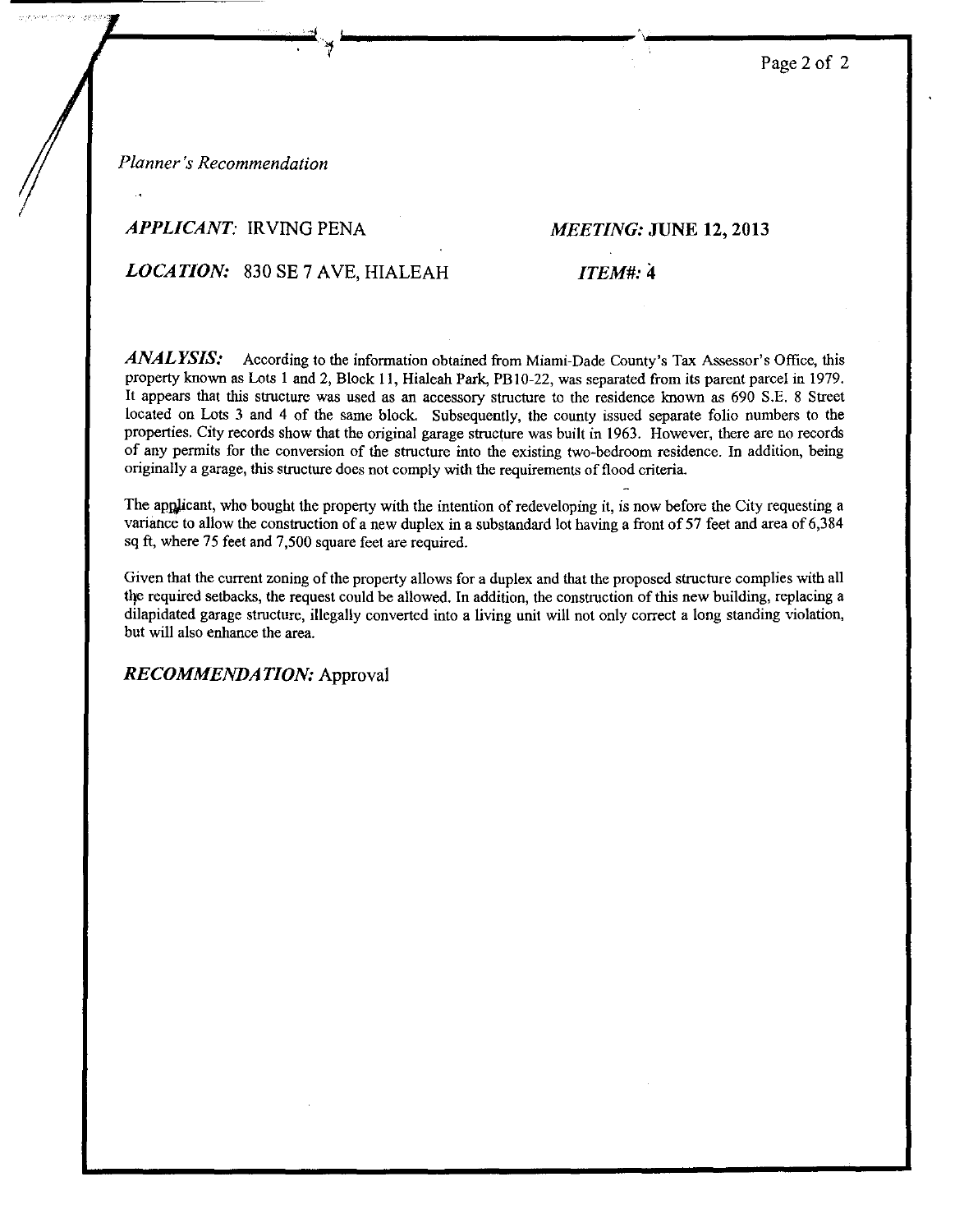Page 2 of 2

*Planner's Recommendation* 

### *APPLICANT:* IRVING PENA *MEETING:* **JUNE 12, 2013**

# *LOCATION:* 830 SE 7 AVE, HIALEAH *ITEM#:4*

*ANALYSIS:* According to the information obtained from Miami-Dade County's Tax Assessor's Office, this property known as Lots 1 and 2, Block 11, Hialeah Park, PB10-22, was separated from its parent parcel in 1979. It appears that this structure was used as an accessory structure to the residence known as 690 S.E. 8 Street located on Lots 3 and 4 of the same block. Subsequently, the county issued separate folio numbers to the properties. City records show that the original garage structure was built in 1963. However, there are no records of any permits for the conversion of the structure into the existing two-bedroom residence. In addition, being originally a garage, this structure does not comply with the requirements of flood criteria.

The applicant, who bought the property with the intention of redeveloping it, is now before the City requesting a variance to allow the construction of a new duplex in a substandard lot having a front of 57 feet and area of 6,384 sq ft, where 75 feet and 7,500 square feet are required.

Given that the current zoning of the property allows for a duplex and that the proposed structure complies with all the required setbacks, the request could be allowed. In addition, the construction of this new building, replacing a dilapidated garage structure, illegally converted into a living unit will not only correct a long standing violation, but will also enhance the area.

*RECOMMENDATION:* Approval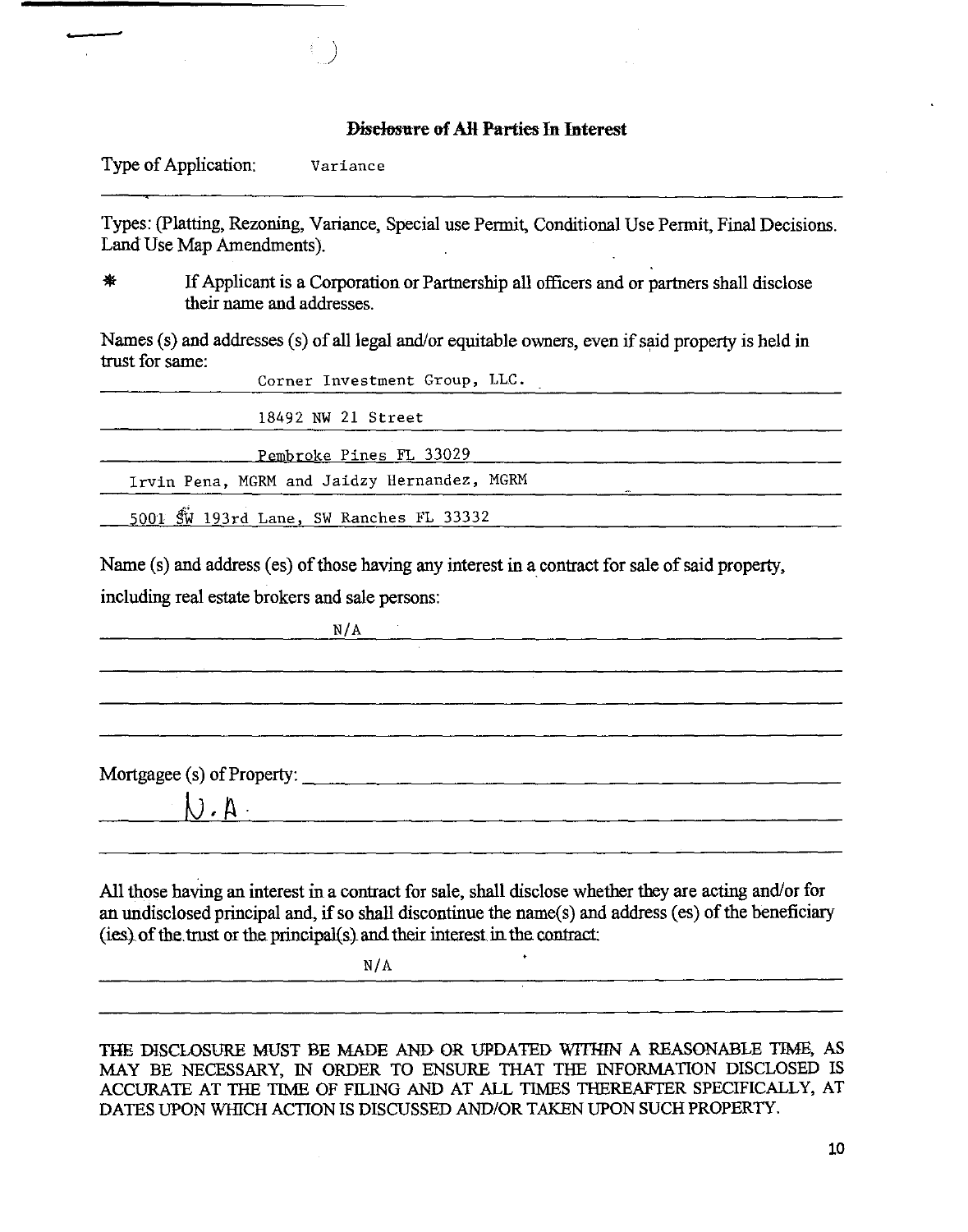# **Disclosure of All Parties In Interest**

Type of Application: **Variance** 

 $\left\{ \begin{array}{c} \end{array} \right\}$ 

Types: (Platting, Rezoning, Variance, Special use Permit, Conditional Use Permit, Final Decisions. Land Use Map Amendments).

\* If Applicant is a Corporation or Partnership all officers and or partners shall disclose their name and addresses.

Names (s) and addresses (s) of all legal and/or equitable owners, even if said property is held in trust for same:

| Corner Investment Group, LLC.               |  |
|---------------------------------------------|--|
| 18492 NW 21 Street                          |  |
| Pembroke Pines FL 33029                     |  |
| Irvin Pena, MGRM and Jaidzy Hernandez, MGRM |  |
| 5001 Sw 193rd Lane, SW Ranches FL 33332     |  |

Name (s) and address (es) of those having any interest in a contract for sale of said property,

including real estate brokers and sale persons:

 $N/A$ Mortgagee (s) of Property:-----------------------

All those having an interest in a contract for sale, shall disclose whether they are acting and/or for an undisclosed principal and, if so shall discontinue the name(s) and address (es) of the beneficiary  $(ies)$  of the trust or the principal $(s)$  and their interest in the contract:

N/A

THE DISCLOSURE MUST BE MADE AND OR UPDATED WITHIN A REASONABLE TIME, AS MAY BE NECESSARY, IN ORDER TO ENSURE THAT THE INFORMATION DISCLOSED IS ACCURATE AT THE TIME OF FILING AND AT ALL TIMES THEREAFTER SPECIFICALLY, AT DATES UPON WHICH ACTION IS DISCUSSED AND/OR TAKEN UPON SUCH PROPERTY.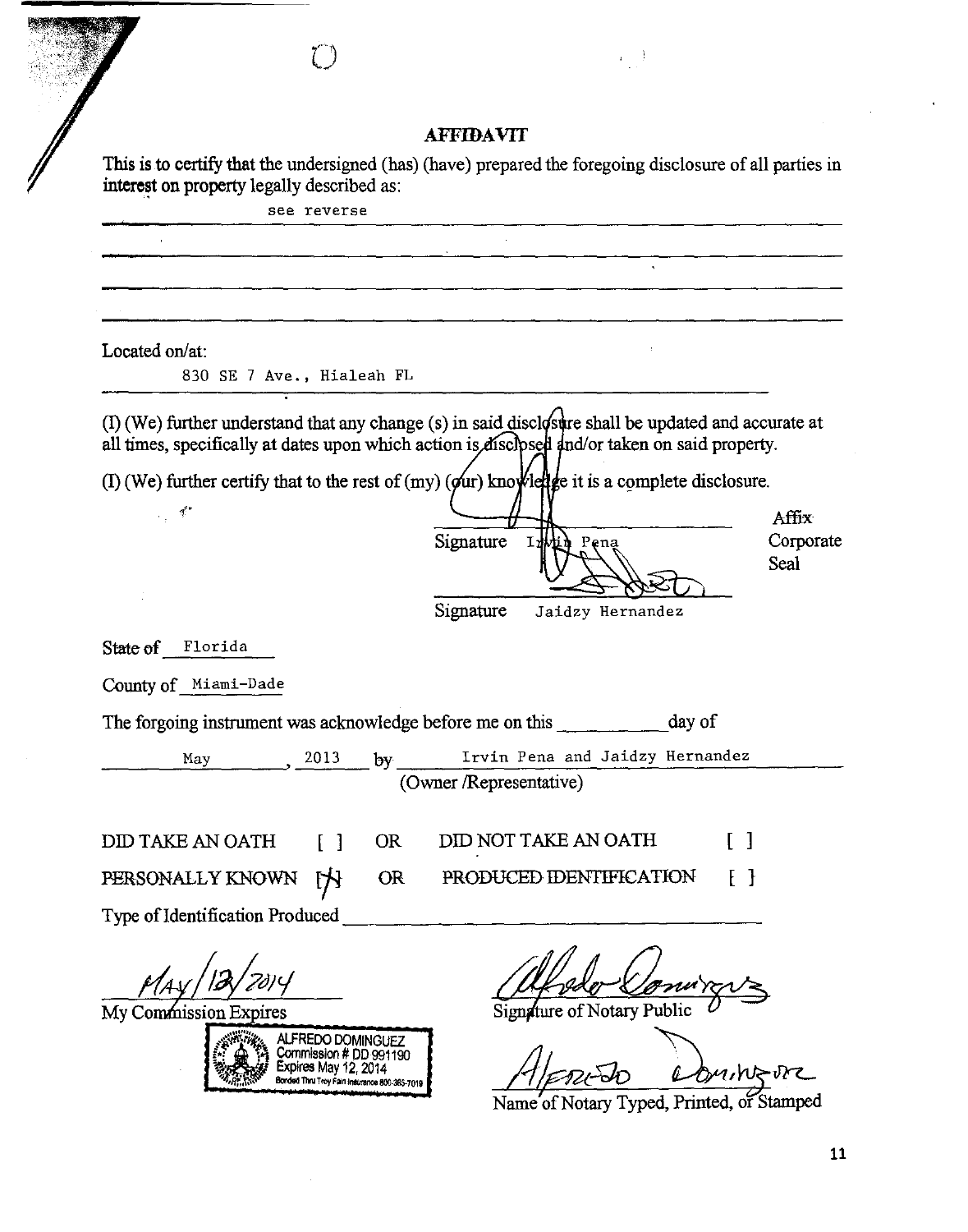$\bigcirc$  $\epsilon > 1$ AFFIDAVIT This is to certify that the undersigned (has) (have) prepared the foregoing disclosure of all parties in interest on property legally described as: **see reverse**  Located on/at: 830 SE 7 Ave., Hialeah FL  $(I)$  (We) further understand that any change (s) in said disclosure shall be updated and accurate at all times, specifically at dates upon which action is disclosed and/or taken on said property. (I) (We) further certify that to the rest of (my) ( $\alpha$ ur) knowledge it is a complete disclosure.  $\mathcal{A}^{\mathcal{C}}$  $\mathbf{r}$ AffiX Signature  $I_x$ Corporate Seal Signature Jaidzy Hernandez State of Florida County of Miami-Dade The forgoing instrument was acknowledge before me on this day of May 2013 by Irvin Pena and Jaidzy Hernandez (Owner /Representative) DID NOT TAKE AN OATH [ ] DID TAKE AN OATH [ ] OR PERSONALLY KNOWN PRODUCED IDENTIFICATION [ ] OR Type of Identification Produced Afredo Comirar My Commission Expires ALFREDO DOMINGUEZ **Commission # DD 991190**<br>Expires May 12, 2014 A/*FI*ZED *Lowing* JR<br>Name of Notary Typed, Printed, or Stamped Louingve

Bonded Thru Troy Fain Insurance 800-385-7019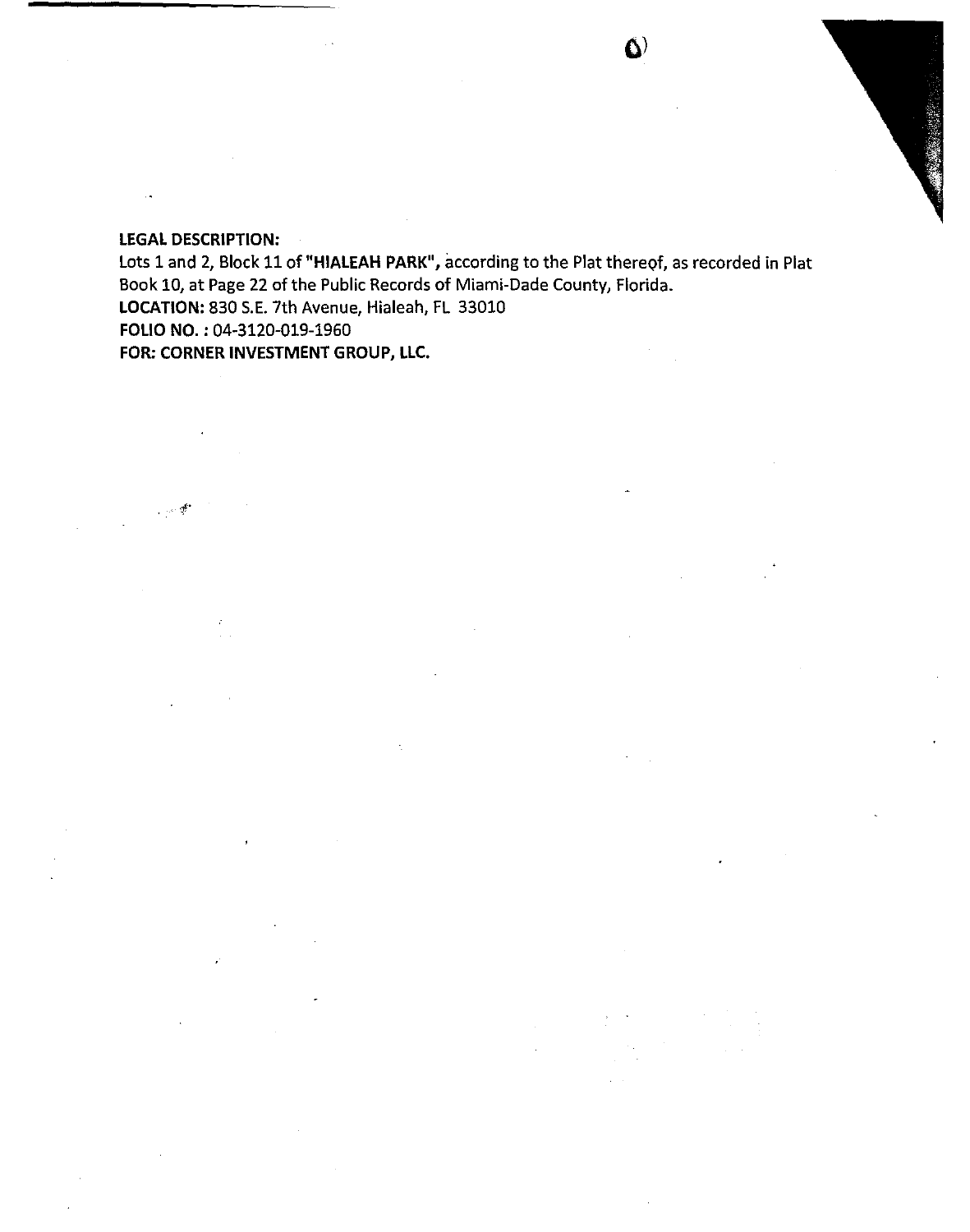# **LEGAL DESCRIPTION:**

 $\gamma \rightarrow \gamma^*$   $\mathcal{Q}^{\mathbf{F}^{\mathbf{A}}}$ 

 $\ddot{\phantom{0}}$ 

Lots 1 and 2, Block 11 of "HIALEAH PARK", according to the Plat thereof, as recorded in Plat Book 10, at Page 22 of the Public Records of Miami-Dade County, Florida. **LOCATION:** 830 S.E. 7th Avenue, Hialeah, FL 33010 **FOLIO NO.** : 04-3120-019-1960 **FOR: CORNER INVESTMENT GROUP, LLC.** 

 $\mathbf{\Omega}$